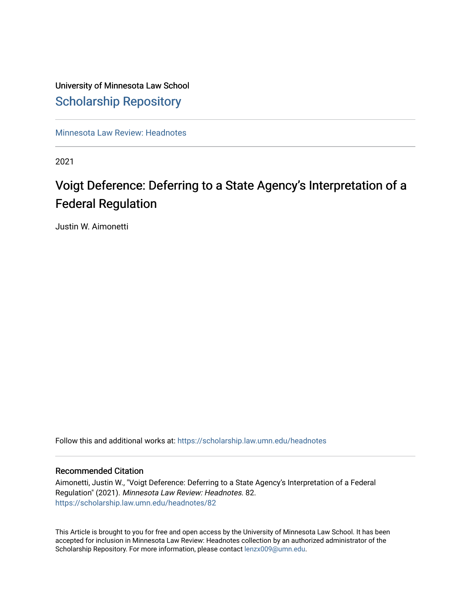# University of Minnesota Law School [Scholarship Repository](https://scholarship.law.umn.edu/)

[Minnesota Law Review: Headnotes](https://scholarship.law.umn.edu/headnotes) 

2021

# Voigt Deference: Deferring to a State Agency's Interpretation of a Federal Regulation

Justin W. Aimonetti

Follow this and additional works at: [https://scholarship.law.umn.edu/headnotes](https://scholarship.law.umn.edu/headnotes?utm_source=scholarship.law.umn.edu%2Fheadnotes%2F82&utm_medium=PDF&utm_campaign=PDFCoverPages) 

# Recommended Citation

Aimonetti, Justin W., "Voigt Deference: Deferring to a State Agency's Interpretation of a Federal Regulation" (2021). Minnesota Law Review: Headnotes. 82. [https://scholarship.law.umn.edu/headnotes/82](https://scholarship.law.umn.edu/headnotes/82?utm_source=scholarship.law.umn.edu%2Fheadnotes%2F82&utm_medium=PDF&utm_campaign=PDFCoverPages)

This Article is brought to you for free and open access by the University of Minnesota Law School. It has been accepted for inclusion in Minnesota Law Review: Headnotes collection by an authorized administrator of the Scholarship Repository. For more information, please contact [lenzx009@umn.edu.](mailto:lenzx009@umn.edu)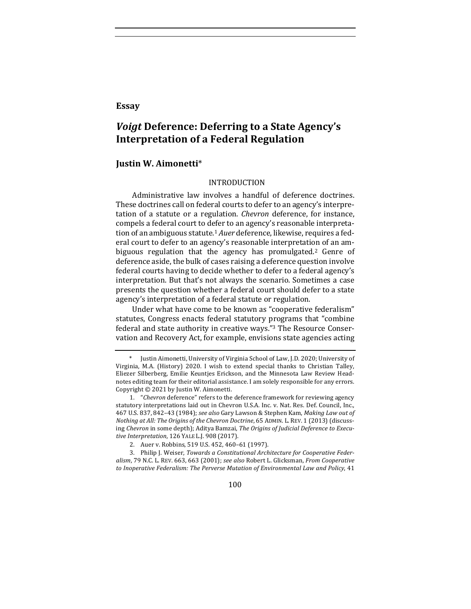# **Essay**

# *Voigt* Deference: Deferring to a State Agency's **Interpretation of a Federal Regulation**

## **Justin W. Aimonetti**\*

### INTRODUCTION

Administrative law involves a handful of deference doctrines. These doctrines call on federal courts to defer to an agency's interpretation of a statute or a regulation. *Chevron* deference, for instance, compels a federal court to defer to an agency's reasonable interpretation of an ambiguous statute.<sup>1</sup> *Auer* deference, likewise, requires a federal court to defer to an agency's reasonable interpretation of an ambiguous regulation that the agency has promulgated.<sup>2</sup> Genre of deference aside, the bulk of cases raising a deference question involve federal courts having to decide whether to defer to a federal agency's interpretation. But that's not always the scenario. Sometimes a case presents the question whether a federal court should defer to a state agency's interpretation of a federal statute or regulation.

Under what have come to be known as "cooperative federalism" statutes, Congress enacts federal statutory programs that "combine federal and state authority in creative ways."<sup>3</sup> The Resource Conservation and Recovery Act, for example, envisions state agencies acting

100

Justin Aimonetti, University of Virginia School of Law, J.D. 2020; University of Virginia, M.A. (History) 2020. I wish to extend special thanks to Christian Talley, Eliezer Silberberg, Emilie Keuntjes Erickson, and the Minnesota Law Review Headnotes editing team for their editorial assistance. I am solely responsible for any errors. Copyright  $©$  2021 by Justin W. Aimonetti.

<sup>1. &</sup>quot;Chevron deference" refers to the deference framework for reviewing agency statutory interpretations laid out in Chevron U.S.A. Inc. v. Nat. Res. Def. Council, Inc., 467 U.S. 837, 842-43 (1984); see also Gary Lawson & Stephen Kam, Making Law out of *Nothing at All: The Origins of the Chevron Doctrine*, 65 ADMIN. L. REV. 1 (2013) (discussing *Chevron* in some depth); Aditya Bamzai, The Origins of Judicial Deference to Execu*tive Interpretation*, 126 YALE L.J. 908 (2017).

<sup>2.</sup> Auer v. Robbins, 519 U.S. 452, 460-61 (1997).

<sup>3.</sup> Philip J. Weiser, *Towards a Constitutional Architecture for Cooperative Feder*alism, 79 N.C. L. REV. 663, 663 (2001); see also Robert L. Glicksman, *From Cooperative* to Inoperative Federalism: The Perverse Mutation of Environmental Law and Policy, 41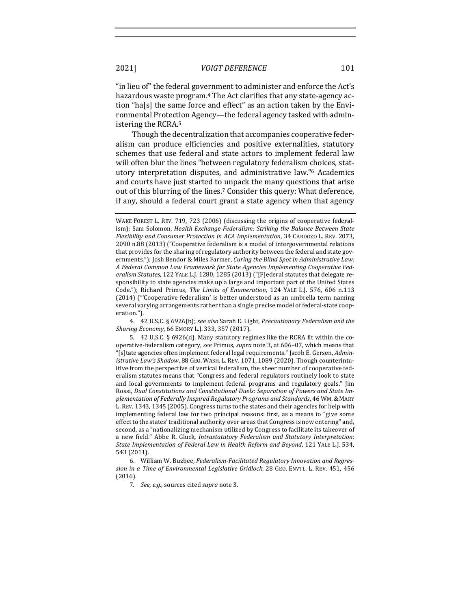" in lieu of" the federal government to administer and enforce the Act's hazardous waste program.<sup>4</sup> The Act clarifies that any state-agency action "ha[s] the same force and effect" as an action taken by the Environmental Protection Agency—the federal agency tasked with administering the RCRA.<sup>5</sup>

Though the decentralization that accompanies cooperative federalism can produce efficiencies and positive externalities, statutory schemes that use federal and state actors to implement federal law will often blur the lines "between regulatory federalism choices, statutory interpretation disputes, and administrative law."<sup>6</sup> Academics and courts have just started to unpack the many questions that arise out of this blurring of the lines.<sup>7</sup> Consider this query: What deference, if any, should a federal court grant a state agency when that agency

4. 42 U.S.C. § 6926(b); see also Sarah E. Light, Precautionary Federalism and the *Sharing Economy*, 66 EMORY L.J. 333, 357 (2017).

5. 42 U.S.C. § 6926(d). Many statutory regimes like the RCRA fit within the cooperative-federalism category, *see* Primus, *supra* note 3, at 606–07, which means that "[s]tate agencies often implement federal legal requirements." Jacob E. Gersen, *Administrative Law's Shadow,* 88 GEO. WASH. L. REV. 1071, 1089 (2020). Though counterintuitive from the perspective of vertical federalism, the sheer number of cooperative federalism statutes means that "Congress and federal regulators routinely look to state and local governments to implement federal programs and regulatory goals." Jim Rossi, Dual Constitutions and Constitutional Duels: Separation of Powers and State Im*plementation of Federally Inspired Regulatory Programs and Standards*, 46 WM.& MARY L. REV. 1343, 1345 (2005). Congress turns to the states and their agencies for help with implementing federal law for two principal reasons: first, as a means to "give some effect to the states' traditional authority over areas that Congress is now entering" and, second, as a "nationalizing mechanism utilized by Congress to facilitate its takeover of a new field." Abbe R. Gluck, *Intrastatutory Federalism and Statutory Interpretation:* State Implementation of Federal Law in Health Reform and Beyond, 121 YALE L.J. 534, 543 (2011).

6. William W. Buzbee, *Federalism-Facilitated Regulatory Innovation and Regres*sion in a Time of Environmental Legislative Gridlock, 28 GEO. ENVTL. L. REV. 451, 456 (2016).

7. See, e.g., sources cited supra note 3.

WAKE FOREST L. REV. 719, 723 (2006) (discussing the origins of cooperative federalism); Sam Solomon, *Health Exchange Federalism: Striking the Balance Between State Flexibility and Consumer Protection in ACA Implementation*, 34 CARDOZO L. REV. 2073, 2090 n.88 (2013) ("Cooperative federalism is a model of intergovernmental relations that provides for the sharing of regulatory authority between the federal and state governments."); Josh Bendor & Miles Farmer, *Curing the Blind Spot in Administrative Law:* A Federal Common Law Framework for State Agencies Implementing Cooperative Federalism Statutes, 122 YALE L.J. 1280, 1285 (2013) ("[F]ederal statutes that delegate responsibility to state agencies make up a large and important part of the United States Code."); Richard Primus, *The Limits of Enumeration*, 124 YALE L.J. 576, 606 n.113 (2014) ("Cooperative federalism' is better understood as an umbrella term naming several varying arrangements rather than a single precise model of federal-state cooperation.").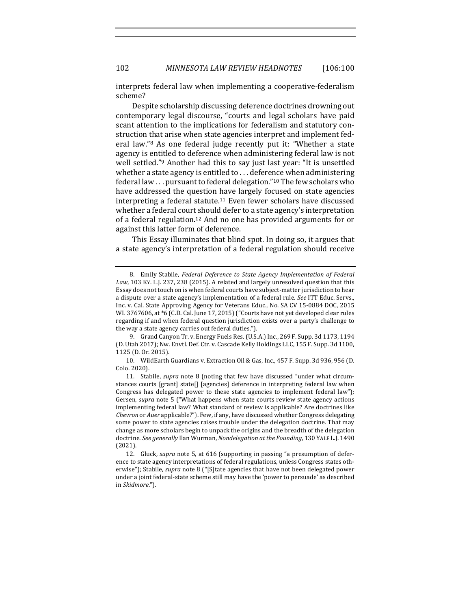interprets federal law when implementing a cooperative-federalism scheme? 

Despite scholarship discussing deference doctrines drowning out contemporary legal discourse, "courts and legal scholars have paid scant attention to the implications for federalism and statutory construction that arise when state agencies interpret and implement federal law."<sup>8</sup> As one federal judge recently put it: "Whether a state agency is entitled to deference when administering federal law is not well settled."<sup>9</sup> Another had this to say just last year: "It is unsettled whether a state agency is entitled to  $\dots$  deference when administering federal law ... pursuant to federal delegation."<sup>10</sup> The few scholars who have addressed the question have largely focused on state agencies interpreting a federal statute.<sup>11</sup> Even fewer scholars have discussed whether a federal court should defer to a state agency's interpretation of a federal regulation.<sup>12</sup> And no one has provided arguments for or against this latter form of deference.

This Essay illuminates that blind spot. In doing so, it argues that a state agency's interpretation of a federal regulation should receive

9. Grand Canyon Tr. v. Energy Fuels Res. (U.S.A.) Inc., 269 F. Supp. 3d 1173, 1194 (D. Utah 2017); Nw. Envtl. Def. Ctr. v. Cascade Kelly Holdings LLC, 155 F. Supp. 3d 1100, 1125 (D. Or. 2015).

10. WildEarth Guardians v. Extraction Oil & Gas, Inc., 457 F. Supp. 3d 936, 956 (D. Colo. 2020).

11. Stabile, *supra* note 8 (noting that few have discussed "under what circumstances courts [grant] state[] [agencies] deference in interpreting federal law when Congress has delegated power to these state agencies to implement federal law"); Gersen, *supra* note 5 ("What happens when state courts review state agency actions implementing federal law? What standard of review is applicable? Are doctrines like Chevron or Auer applicable?"). Few, if any, have discussed whether Congress delegating some power to state agencies raises trouble under the delegation doctrine. That may change as more scholars begin to unpack the origins and the breadth of the delegation doctrine. See generally Ilan Wurman, *Nondelegation at the Founding*, 130 YALE L.J. 1490 (2021).

12. Gluck, *supra* note 5, at 616 (supporting in passing "a presumption of deference to state agency interpretations of federal regulations, unless Congress states otherwise"); Stabile, *supra* note 8 ("[S]tate agencies that have not been delegated power under a joint federal-state scheme still may have the 'power to persuade' as described in *Skidmore*.").

<sup>8.</sup> Emily Stabile, *Federal Deference to State Agency Implementation of Federal* Law, 103 Ky. L.J. 237, 238 (2015). A related and largely unresolved question that this Essay does not touch on is when federal courts have subject-matter jurisdiction to hear a dispute over a state agency's implementation of a federal rule. *See* ITT Educ. Servs., Inc. v. Cal. State Approving Agency for Veterans Educ., No. SA CV 15-0884 DOC, 2015 WL 3767606, at \*6 (C.D. Cal. June 17, 2015) ("Courts have not yet developed clear rules regarding if and when federal question jurisdiction exists over a party's challenge to the way a state agency carries out federal duties.").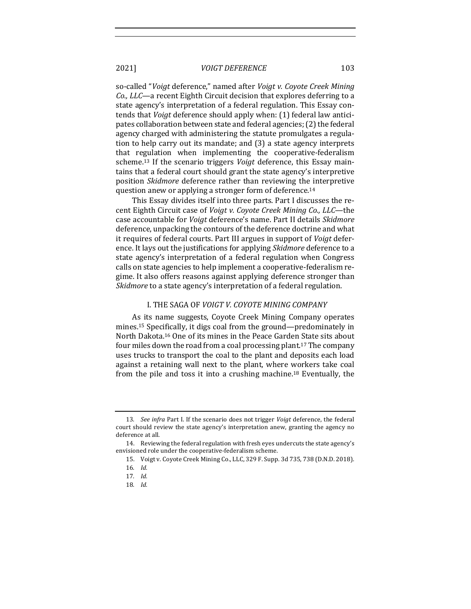so-called "*Voigt* deference," named after *Voigt v. Coyote Creek Mining* Co., LLC-a recent Eighth Circuit decision that explores deferring to a state agency's interpretation of a federal regulation. This Essay contends that *Voigt* deference should apply when: (1) federal law anticipates collaboration between state and federal agencies; (2) the federal agency charged with administering the statute promulgates a regulation to help carry out its mandate; and (3) a state agency interprets that regulation when implementing the cooperative-federalism scheme.<sup>13</sup> If the scenario triggers *Voigt* deference, this Essay maintains that a federal court should grant the state agency's interpretive position *Skidmore* deference rather than reviewing the interpretive question anew or applying a stronger form of deference.<sup>14</sup>

This Essay divides itself into three parts. Part I discusses the recent Eighth Circuit case of *Voigt v. Coyote Creek Mining Co., LLC*—the case accountable for *Voigt* deference's name. Part II details *Skidmore* deference, unpacking the contours of the deference doctrine and what it requires of federal courts. Part III argues in support of *Voigt* deference. It lays out the justifications for applying *Skidmore* deference to a state agency's interpretation of a federal regulation when Congress calls on state agencies to help implement a cooperative-federalism regime. It also offers reasons against applying deference stronger than Skidmore to a state agency's interpretation of a federal regulation.

#### I. THE SAGA OF *VOIGT V. COYOTE MINING COMPANY*

As its name suggests, Coyote Creek Mining Company operates mines.<sup>15</sup> Specifically, it digs coal from the ground—predominately in North Dakota.<sup>16</sup> One of its mines in the Peace Garden State sits about four miles down the road from a coal processing plant.<sup>17</sup> The company uses trucks to transport the coal to the plant and deposits each load against a retaining wall next to the plant, where workers take coal from the pile and toss it into a crushing machine.<sup>18</sup> Eventually, the

<sup>13</sup>*. See infra* Part I. If the scenario does not trigger *Voigt* deference, the federal court should review the state agency's interpretation anew, granting the agency no deference at all.

<sup>14.</sup> Reviewing the federal regulation with fresh eyes undercuts the state agency's envisioned role under the cooperative-federalism scheme.

<sup>15.</sup> Voigt v. Coyote Creek Mining Co., LLC, 329 F. Supp. 3d 735, 738 (D.N.D. 2018).

<sup>16</sup>*. Id.*

<sup>17</sup>*. Id.*

<sup>18</sup>*. Id.*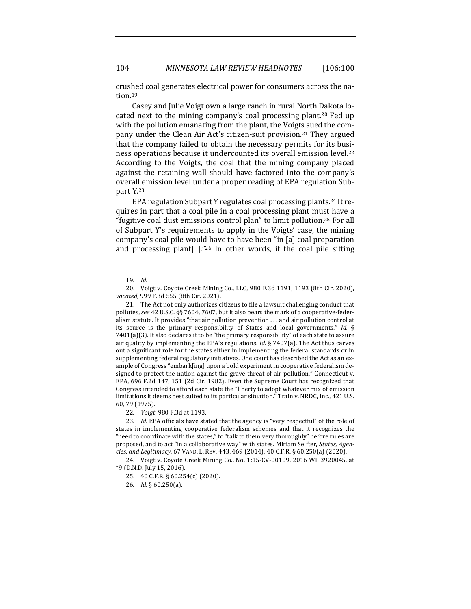crushed coal generates electrical power for consumers across the nation.19

Casey and Julie Voigt own a large ranch in rural North Dakota located next to the mining company's coal processing plant.<sup>20</sup> Fed up with the pollution emanating from the plant, the Voigts sued the company under the Clean Air Act's citizen-suit provision.<sup>21</sup> They argued that the company failed to obtain the necessary permits for its business operations because it undercounted its overall emission level.<sup>22</sup> According to the Voigts, the coal that the mining company placed against the retaining wall should have factored into the company's overall emission level under a proper reading of EPA regulation Subpart Y.23

EPA regulation Subpart Y regulates coal processing plants.<sup>24</sup> It requires in part that a coal pile in a coal processing plant must have a "fugitive coal dust emissions control plan" to limit pollution.<sup>25</sup> For all of Subpart Y's requirements to apply in the Voigts' case, the mining company's coal pile would have to have been "in [a] coal preparation and processing plant[ $\vert$ ."26 In other words, if the coal pile sitting

22*. Voigt*, 980 F.3d at 1193.

24. Voigt v. Coyote Creek Mining Co., No. 1:15-CV-00109, 2016 WL 3920045, at \*9 (D.N.D. July 15, 2016).

25. 40 C.F.R. § 60.254(c) (2020).

26*. Id.* § 60.250(a).

<sup>19</sup>*. Id.*

<sup>20.</sup> Voigt v. Coyote Creek Mining Co., LLC, 980 F.3d 1191, 1193 (8th Cir. 2020), *vacated*, 999 F.3d 555 (8th Cir. 2021).

<sup>21.</sup> The Act not only authorizes citizens to file a lawsuit challenging conduct that pollutes, see 42 U.S.C. §§ 7604, 7607, but it also bears the mark of a cooperative-federalism statute. It provides "that air pollution prevention  $\dots$  and air pollution control at its source is the primary responsibility of States and local governments." *Id.*  $\S$  $7401(a)(3)$ . It also declares it to be "the primary responsibility" of each state to assure air quality by implementing the EPA's regulations. *Id.*  $\S$  7407(a). The Act thus carves out a significant role for the states either in implementing the federal standards or in supplementing federal regulatory initiatives. One court has described the Act as an example of Congress "embark[ing] upon a bold experiment in cooperative federalism designed to protect the nation against the grave threat of air pollution." Connecticut  $v$ . EPA, 696 F.2d 147, 151 (2d Cir. 1982). Even the Supreme Court has recognized that Congress intended to afford each state the "liberty to adopt whatever mix of emission limitations it deems best suited to its particular situation." Train v. NRDC, Inc., 421 U.S. 60, 79 (1975).

<sup>23.</sup> *Id.* EPA officials have stated that the agency is "very respectful" of the role of states in implementing cooperative federalism schemes and that it recognizes the "need to coordinate with the states," to "talk to them very thoroughly" before rules are proposed, and to act "in a collaborative way" with states. Miriam Seifter, States, Agen*cies, and Legitimacy*, 67 VAND. L. REV. 443, 469 (2014); 40 C.F.R. § 60.250(a) (2020).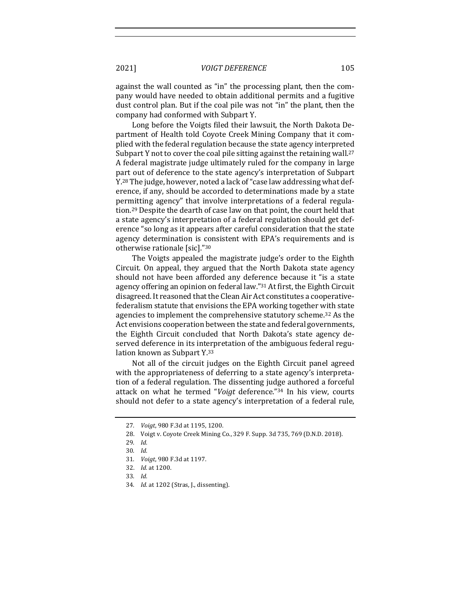against the wall counted as "in" the processing plant, then the company would have needed to obtain additional permits and a fugitive dust control plan. But if the coal pile was not "in" the plant, then the company had conformed with Subpart Y.

Long before the Voigts filed their lawsuit, the North Dakota Department of Health told Coyote Creek Mining Company that it complied with the federal regulation because the state agency interpreted Subpart Y not to cover the coal pile sitting against the retaining wall.<sup>27</sup> A federal magistrate judge ultimately ruled for the company in large part out of deference to the state agency's interpretation of Subpart Y.<sup>28</sup> The judge, however, noted a lack of "case law addressing what deference, if any, should be accorded to determinations made by a state permitting agency" that involve interpretations of a federal regulation.<sup>29</sup> Despite the dearth of case law on that point, the court held that a state agency's interpretation of a federal regulation should get deference "so long as it appears after careful consideration that the state agency determination is consistent with EPA's requirements and is otherwise rationale [sic]."30

The Voigts appealed the magistrate judge's order to the Eighth Circuit. On appeal, they argued that the North Dakota state agency should not have been afforded any deference because it "is a state agency offering an opinion on federal law."<sup>31</sup> At first, the Eighth Circuit disagreed. It reasoned that the Clean Air Act constitutes a cooperativefederalism statute that envisions the EPA working together with state agencies to implement the comprehensive statutory scheme.<sup>32</sup> As the Act envisions cooperation between the state and federal governments, the Eighth Circuit concluded that North Dakota's state agency deserved deference in its interpretation of the ambiguous federal regulation known as Subpart Y.<sup>33</sup>

Not all of the circuit judges on the Eighth Circuit panel agreed with the appropriateness of deferring to a state agency's interpretation of a federal regulation. The dissenting judge authored a forceful attack on what he termed "*Voigt* deference."<sup>34</sup> In his view, courts should not defer to a state agency's interpretation of a federal rule,

<sup>27.</sup> *Voigt*, 980 F.3d at 1195, 1200.

<sup>28.</sup> Voigt v. Coyote Creek Mining Co., 329 F. Supp. 3d 735, 769 (D.N.D. 2018).

<sup>29</sup>*. Id.*

<sup>30</sup>*. Id.*

<sup>31</sup>*. Voigt*, 980 F.3d at 1197.

<sup>32.</sup> *Id.* at 1200.

<sup>33</sup>*. Id.*

<sup>34.</sup> *Id.* at 1202 (Stras, J., dissenting).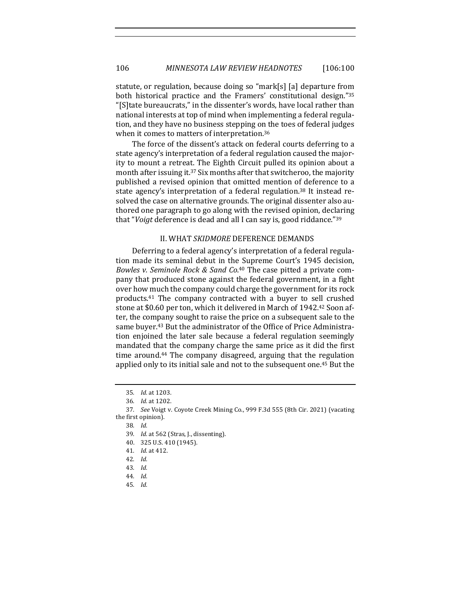statute, or regulation, because doing so "mark[s] [a] departure from both historical practice and the Framers' constitutional design."35 "[S]tate bureaucrats," in the dissenter's words, have local rather than national interests at top of mind when implementing a federal regulation, and they have no business stepping on the toes of federal judges when it comes to matters of interpretation.<sup>36</sup>

The force of the dissent's attack on federal courts deferring to a state agency's interpretation of a federal regulation caused the majority to mount a retreat. The Eighth Circuit pulled its opinion about a month after issuing it.<sup>37</sup> Six months after that switcheroo, the majority published a revised opinion that omitted mention of deference to a state agency's interpretation of a federal regulation.<sup>38</sup> It instead resolved the case on alternative grounds. The original dissenter also authored one paragraph to go along with the revised opinion, declaring that "*Voigt* deference is dead and all I can say is, good riddance."<sup>39</sup>

#### **II. WHAT SKIDMORE DEFERENCE DEMANDS**

Deferring to a federal agency's interpretation of a federal regulation made its seminal debut in the Supreme Court's 1945 decision, Bowles v. Seminole Rock & Sand Co.<sup>40</sup> The case pitted a private company that produced stone against the federal government, in a fight over how much the company could charge the government for its rock products.<sup>41</sup> The company contracted with a buyer to sell crushed stone at \$0.60 per ton, which it delivered in March of 1942.<sup>42</sup> Soon after, the company sought to raise the price on a subsequent sale to the same buyer.<sup>43</sup> But the administrator of the Office of Price Administration enjoined the later sale because a federal regulation seemingly mandated that the company charge the same price as it did the first time around.<sup>44</sup> The company disagreed, arguing that the regulation applied only to its initial sale and not to the subsequent one.<sup>45</sup> But the

- 40. 325 U.S. 410 (1945).
- 41*. Id.* at 412.
- 42*. Id.*
- 43*. Id.*
- 44*. Id.*
- 45*. Id.*

<sup>35</sup>*. Id.* at 1203.

<sup>36</sup>*. Id.* at 1202.

<sup>37.</sup> See Voigt v. Coyote Creek Mining Co., 999 F.3d 555 (8th Cir. 2021) (vacating the first opinion).

<sup>38</sup>*. Id.*

<sup>39.</sup> *Id.* at 562 (Stras, J., dissenting).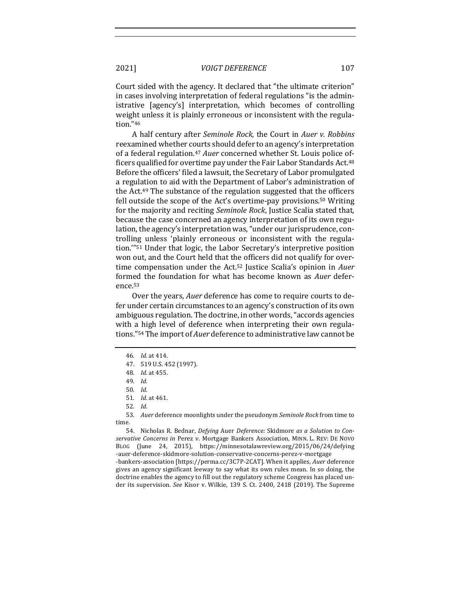Court sided with the agency. It declared that "the ultimate criterion" in cases involving interpretation of federal regulations "is the administrative [agency's] interpretation, which becomes of controlling weight unless it is plainly erroneous or inconsistent with the regulation."46

A half century after *Seminole Rock*, the Court in Auer v. Robbins reexamined whether courts should defer to an agency's interpretation of a federal regulation.<sup>47</sup> *Auer* concerned whether St. Louis police officers qualified for overtime pay under the Fair Labor Standards Act.<sup>48</sup> Before the officers' filed a lawsuit, the Secretary of Labor promulgated a regulation to aid with the Department of Labor's administration of the  $Act.^{49}$  The substance of the regulation suggested that the officers fell outside the scope of the Act's overtime-pay provisions.<sup>50</sup> Writing for the majority and reciting *Seminole Rock*, Justice Scalia stated that, because the case concerned an agency interpretation of its own regulation, the agency's interpretation was, "under our jurisprudence, controlling unless 'plainly erroneous or inconsistent with the regulation."<sup>51</sup> Under that logic, the Labor Secretary's interpretive position won out, and the Court held that the officers did not qualify for overtime compensation under the Act.<sup>52</sup> Justice Scalia's opinion in *Auer* formed the foundation for what has become known as *Auer* deference.53

Over the years, *Auer* deference has come to require courts to defer under certain circumstances to an agency's construction of its own ambiguous regulation. The doctrine, in other words, "accords agencies with a high level of deference when interpreting their own regulations."<sup>54</sup> The import of *Auer* deference to administrative law cannot be

53. Auer deference moonlights under the pseudonym Seminole Rock from time to time.

54. Nicholas R. Bednar, *Defying* Auer *Deference:* Skidmore as a Solution to Con*servative Concerns in* Perez v. Mortgage Bankers Association, MINN. L. REV: DE NOVO BLOG (June 24, 2015), https://minnesotalawreview.org/2015/06/24/defying -auer-deference-skidmore-solution-conservative-concerns-perez-v-mortgage -bankers-association [https://perma.cc/3C7P-2CAT]. When it applies, *Auer* deference gives an agency significant leeway to say what its own rules mean. In so doing, the doctrine enables the agency to fill out the regulatory scheme Congress has placed under its supervision. *See* Kisor v. Wilkie, 139 S. Ct. 2400, 2418 (2019). The Supreme

<sup>46</sup>*. Id.* at 414.

<sup>47. 519</sup> U.S. 452 (1997).

<sup>48</sup>*. Id.* at 455.

<sup>49</sup>*. Id.*

<sup>50</sup>*. Id.*

<sup>51</sup>*. Id.* at 461.

<sup>52</sup>*. Id.*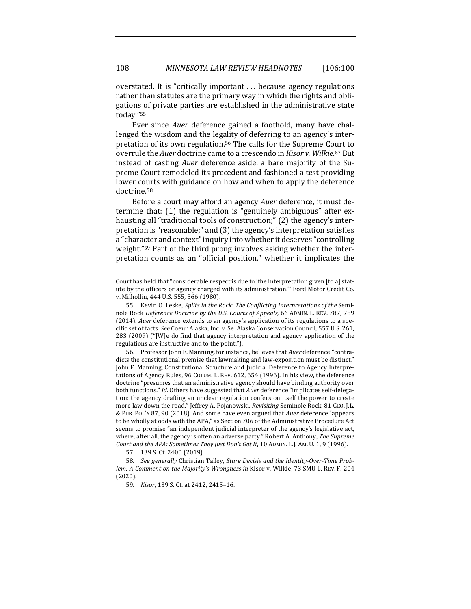overstated. It is "critically important ... because agency regulations rather than statutes are the primary way in which the rights and obligations of private parties are established in the administrative state today."55

Ever since *Auer* deference gained a foothold, many have challenged the wisdom and the legality of deferring to an agency's interpretation of its own regulation.<sup>56</sup> The calls for the Supreme Court to overrule the Auer doctrine came to a crescendo in *Kisor v. Wilkie*.<sup>57</sup> But instead of casting *Auer* deference aside, a bare majority of the Supreme Court remodeled its precedent and fashioned a test providing lower courts with guidance on how and when to apply the deference doctrine.58

Before a court may afford an agency *Auer* deference, it must determine that: (1) the regulation is "genuinely ambiguous" after exhausting all "traditional tools of construction;" (2) the agency's interpretation is "reasonable;" and (3) the agency's interpretation satisfies a "character and context" inquiry into whether it deserves "controlling weight."<sup>59</sup> Part of the third prong involves asking whether the interpretation counts as an "official position," whether it implicates the

56. Professor John F. Manning, for instance, believes that *Auer* deference "contradicts the constitutional premise that lawmaking and law-exposition must be distinct." John F. Manning, Constitutional Structure and Judicial Deference to Agency Interpretations of Agency Rules, 96 COLUM. L. REV. 612, 654 (1996). In his view, the deference doctrine "presumes that an administrative agency should have binding authority over both functions." *Id.* Others have suggested that Auer deference "implicates self-delegation: the agency drafting an unclear regulation confers on itself the power to create more law down the road." Jeffrey A. Pojanowski, *Revisiting* Seminole Rock, 81 GEO. J.L. & PUB. POL'Y 87, 90 (2018). And some have even argued that *Auer* deference "appears to be wholly at odds with the APA," as Section 706 of the Administrative Procedure Act seems to promise "an independent judicial interpreter of the agency's legislative act, where, after all, the agency is often an adverse party." Robert A. Anthony, The Supreme Court and the APA: Sometimes They Just Don't Get It, 10 ADMIN. L.J. AM. U. 1, 9 (1996).

57. 139 S. Ct. 2400 (2019).

58. See generally Christian Talley, *Stare Decisis and the Identity-Over-Time Problem: A Comment on the Majority's Wrongness in Kisor v. Wilkie, 73 SMU L. REV. F. 204* (2020).

59. *Kisor*, 139 S. Ct. at 2412, 2415-16.

Court has held that "considerable respect is due to 'the interpretation given [to a] statute by the officers or agency charged with its administration." Ford Motor Credit Co. v. Milhollin, 444 U.S. 555, 566 (1980).

<sup>55.</sup> Kevin O. Leske, *Splits in the Rock: The Conflicting Interpretations of the Semi*nole Rock Deference Doctrine by the U.S. Courts of Appeals, 66 ADMIN. L. REV. 787, 789 (2014). Auer deference extends to an agency's application of its regulations to a specific set of facts. See Coeur Alaska, Inc. v. Se. Alaska Conservation Council, 557 U.S. 261,  $283$  (2009) ("[W]e do find that agency interpretation and agency application of the regulations are instructive and to the point.").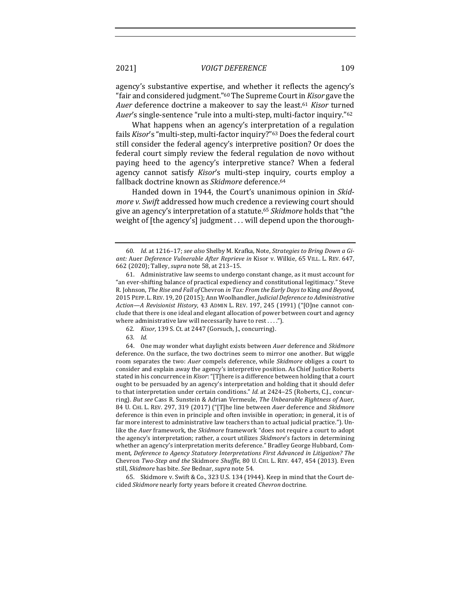agency's substantive expertise, and whether it reflects the agency's "fair and considered judgment."<sup>60</sup> The Supreme Court in *Kisor* gave the Auer deference doctrine a makeover to say the least.<sup>61</sup> Kisor turned *Auer's* single-sentence "rule into a multi-step, multi-factor inquiry."<sup>62</sup>

What happens when an agency's interpretation of a regulation fails *Kisor's* "multi-step, multi-factor inquiry?"<sup>63</sup> Does the federal court still consider the federal agency's interpretive position? Or does the federal court simply review the federal regulation de novo without paying heed to the agency's interpretive stance? When a federal agency cannot satisfy *Kisor's* multi-step inquiry, courts employ a fallback doctrine known as *Skidmore* deference.<sup>64</sup>

Handed down in 1944, the Court's unanimous opinion in *Skidmore* v. Swift addressed how much credence a reviewing court should give an agency's interpretation of a statute.<sup>65</sup> *Skidmore* holds that "the weight of [the agency's] judgment ... will depend upon the thorough-

63*. Id.*

<sup>60.</sup> *Id.* at 1216-17; see also Shelby M. Krafka, Note, Strategies to Bring Down a Giant: Auer *Deference Vulnerable After Reprieve in Kisor v. Wilkie, 65 VILL. L. REV. 647,* 662 (2020); Talley, *supra* note 58, at 213–15.

<sup>61.</sup> Administrative law seems to undergo constant change, as it must account for "an ever-shifting balance of practical expediency and constitutional legitimacy." Steve R. Johnson, *The Rise and Fall of* Chevron *in Tax: From the Early Days to King and Beyond*, 2015 PEPP. L. REV. 19, 20 (2015); Ann Woolhandler, *Judicial Deference to Administrative* Action-A Revisionist History, 43 ADMIN L. REV. 197, 245 (1991) ("[O]ne cannot conclude that there is one ideal and elegant allocation of power between court and agency where administrative law will necessarily have to rest  $\dots$ ").

<sup>62</sup>*. Kisor*, 139 S. Ct. at 2447 (Gorsuch, J., concurring).

<sup>64.</sup> One may wonder what daylight exists between Auer deference and *Skidmore* deference. On the surface, the two doctrines seem to mirror one another. But wiggle room separates the two: *Auer* compels deference, while *Skidmore* obliges a court to consider and explain away the agency's interpretive position. As Chief Justice Roberts stated in his concurrence in *Kisor*: "[T]here is a difference between holding that a court ought to be persuaded by an agency's interpretation and holding that it should defer to that interpretation under certain conditions." *Id.* at 2424–25 (Roberts, C.J., concurring). *But see* Cass R. Sunstein & Adrian Vermeule, *The Unbearable Rightness of Auer*, 84 U. CHI. L. REV. 297, 319 (2017) ("[T]he line between *Auer* deference and *Skidmore* deference is thin even in principle and often invisible in operation; in general, it is of far more interest to administrative law teachers than to actual judicial practice."). Unlike the *Auer* framework, the *Skidmore* framework "does not require a court to adopt the agency's interpretation; rather, a court utilizes *Skidmore's* factors in determining whether an agency's interpretation merits deference." Bradley George Hubbard, Comment, Deference to Agency Statutory Interpretations First Advanced in Litigation? The Chevron *Two-Step and the Skidmore Shuffle*, 80 U. CHI. L. REV. 447, 454 (2013). Even still, *Skidmore* has bite. See Bednar, *supra* note 54.

<sup>65.</sup> Skidmore v. Swift & Co., 323 U.S. 134 (1944). Keep in mind that the Court decided *Skidmore* nearly forty years before it created *Chevron* doctrine.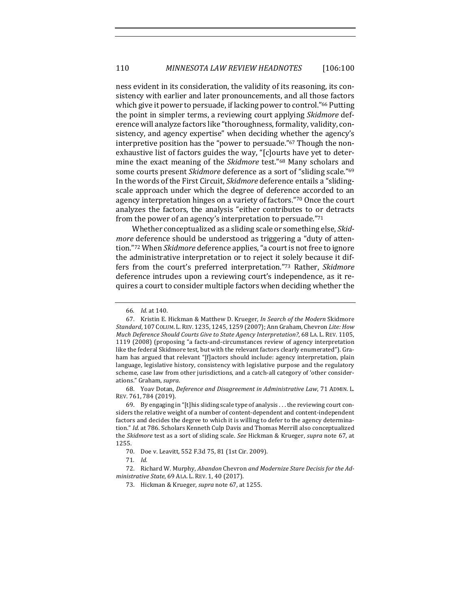ness evident in its consideration, the validity of its reasoning, its consistency with earlier and later pronouncements, and all those factors which give it power to persuade, if lacking power to control."<sup>66</sup> Putting the point in simpler terms, a reviewing court applying *Skidmore* deference will analyze factors like "thoroughness, formality, validity, consistency, and agency expertise" when deciding whether the agency's interpretive position has the "power to persuade."<sup>67</sup> Though the nonexhaustive list of factors guides the way, "[c]ourts have yet to determine the exact meaning of the *Skidmore* test."<sup>68</sup> Many scholars and some courts present *Skidmore* deference as a sort of "sliding scale."<sup>69</sup> In the words of the First Circuit, *Skidmore* deference entails a "slidingscale approach under which the degree of deference accorded to an agency interpretation hinges on a variety of factors."<sup>70</sup> Once the court analyzes the factors, the analysis "either contributes to or detracts from the power of an agency's interpretation to persuade." $71$ 

Whether conceptualized as a sliding scale or something else, *Skidmore* deference should be understood as triggering a "duty of attention."72 When *Skidmore* deference applies, "a court is not free to ignore the administrative interpretation or to reject it solely because it differs from the court's preferred interpretation."73 Rather, Skidmore deference intrudes upon a reviewing court's independence, as it requires a court to consider multiple factors when deciding whether the

68. Yoav Dotan, Deference and Disagreement in Administrative Law, 71 ADMIN. L. REV. 761, 784 (2019).

69. By engaging in "[t]his sliding scale type of analysis . . . the reviewing court considers the relative weight of a number of content-dependent and content-independent factors and decides the degree to which it is willing to defer to the agency determination." Id. at 786. Scholars Kenneth Culp Davis and Thomas Merrill also conceptualized the *Skidmore* test as a sort of sliding scale. *See* Hickman & Krueger, *supra* note 67, at 1255.

<sup>66</sup>*. Id.* at 140.

<sup>67.</sup> Kristin E. Hickman & Matthew D. Krueger, *In Search of the Modern* Skidmore Standard, 107 COLUM. L. REV. 1235, 1245, 1259 (2007); Ann Graham, Chevron Lite: How *Much Deference Should Courts Give to State Agency Interpretation?*, 68 LA. L. REV. 1105, 1119 (2008) (proposing "a facts-and-circumstances review of agency interpretation like the federal Skidmore test, but with the relevant factors clearly enumerated"). Graham has argued that relevant "[f]actors should include: agency interpretation, plain language, legislative history, consistency with legislative purpose and the regulatory scheme, case law from other jurisdictions, and a catch-all category of 'other considerations." Graham, supra.

<sup>70.</sup> Doe v. Leavitt, 552 F.3d 75, 81 (1st Cir. 2009).

<sup>71</sup>*. Id.*

<sup>72.</sup> Richard W. Murphy, *Abandon* Chevron and Modernize Stare Decisis for the Ad*ministrative State,* 69 ALA. L. REV. 1, 40 (2017).

<sup>73.</sup> Hickman & Krueger, *supra* note 67, at 1255.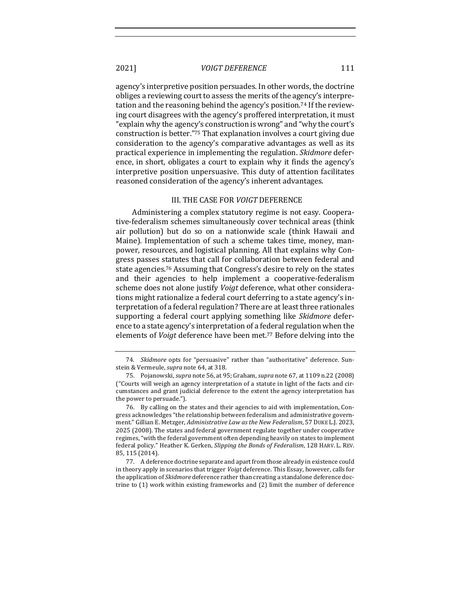agency's interpretive position persuades. In other words, the doctrine obliges a reviewing court to assess the merits of the agency's interpretation and the reasoning behind the agency's position.<sup>74</sup> If the reviewing court disagrees with the agency's proffered interpretation, it must "explain why the agency's construction is wrong" and "why the court's construction is better."<sup>75</sup> That explanation involves a court giving due consideration to the agency's comparative advantages as well as its practical experience in implementing the regulation. *Skidmore* deference, in short, obligates a court to explain why it finds the agency's interpretive position unpersuasive. This duty of attention facilitates reasoned consideration of the agency's inherent advantages.

#### III. THE CASE FOR *VOIGT* DEFERENCE

Administering a complex statutory regime is not easy. Cooperative-federalism schemes simultaneously cover technical areas (think air pollution) but do so on a nationwide scale (think Hawaii and Maine). Implementation of such a scheme takes time, money, manpower, resources, and logistical planning. All that explains why Congress passes statutes that call for collaboration between federal and state agencies.<sup>76</sup> Assuming that Congress's desire to rely on the states and their agencies to help implement a cooperative-federalism scheme does not alone justify *Voigt* deference, what other considerations might rationalize a federal court deferring to a state agency's interpretation of a federal regulation? There are at least three rationales supporting a federal court applying something like Skidmore deference to a state agency's interpretation of a federal regulation when the elements of *Voigt* deference have been met.<sup>77</sup> Before delving into the

77. A deference doctrine separate and apart from those already in existence could in theory apply in scenarios that trigger *Voigt* deference. This Essay, however, calls for the application of *Skidmore* deference rather than creating a standalone deference doctrine to  $(1)$  work within existing frameworks and  $(2)$  limit the number of deference

<sup>74.</sup> *Skidmore* opts for "persuasive" rather than "authoritative" deference. Sunstein & Vermeule, *supra* note 64, at 318.

<sup>75.</sup> Pojanowski, *supra* note 56, at 95; Graham, *supra* note 67, at 1109 n.22 (2008)  $"$  Courts will weigh an agency interpretation of a statute in light of the facts and circumstances and grant judicial deference to the extent the agency interpretation has the power to persuade.").

<sup>76.</sup> By calling on the states and their agencies to aid with implementation, Congress acknowledges "the relationship between federalism and administrative government." Gillian E. Metzger, *Administrative Law as the New Federalism*, 57 DUKE L.J. 2023, 2025 (2008). The states and federal government regulate together under cooperative regimes, "with the federal government often depending heavily on states to implement federal policy." Heather K. Gerken, *Slipping the Bonds of Federalism*, 128 HARV. L. REV. 85, 115 (2014).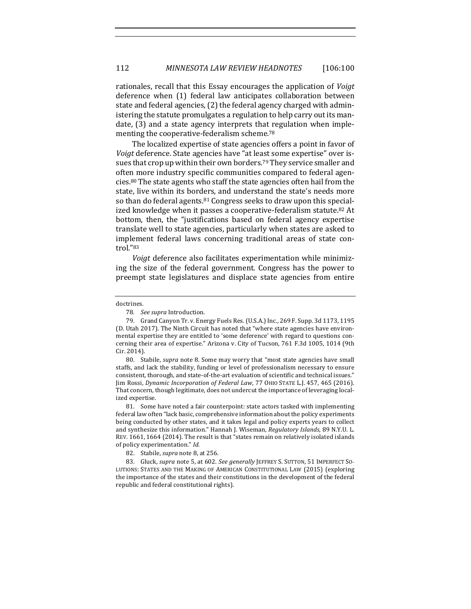rationales, recall that this Essay encourages the application of *Voigt* deference when (1) federal law anticipates collaboration between state and federal agencies, (2) the federal agency charged with administering the statute promulgates a regulation to help carry out its mandate,  $(3)$  and a state agency interprets that regulation when implementing the cooperative-federalism scheme.<sup>78</sup>

The localized expertise of state agencies offers a point in favor of *Voigt* deference. State agencies have "at least some expertise" over issues that crop up within their own borders.<sup>79</sup> They service smaller and often more industry specific communities compared to federal agencies.<sup>80</sup> The state agents who staff the state agencies often hail from the state, live within its borders, and understand the state's needs more so than do federal agents.<sup>81</sup> Congress seeks to draw upon this specialized knowledge when it passes a cooperative-federalism statute.<sup>82</sup> At bottom, then, the "justifications based on federal agency expertise translate well to state agencies, particularly when states are asked to implement federal laws concerning traditional areas of state control."83

*Voigt* deference also facilitates experimentation while minimizing the size of the federal government. Congress has the power to preempt state legislatures and displace state agencies from entire

80. Stabile, *supra* note 8. Some may worry that "most state agencies have small staffs, and lack the stability, funding or level of professionalism necessary to ensure consistent, thorough, and state-of-the-art evaluation of scientific and technical issues." Jim Rossi, Dynamic Incorporation of Federal Law, 77 OHIO STATE L.J. 457, 465 (2016). That concern, though legitimate, does not undercut the importance of leveraging localized expertise.

81. Some have noted a fair counterpoint: state actors tasked with implementing federal law often "lack basic, comprehensive information about the policy experiments being conducted by other states, and it takes legal and policy experts years to collect and synthesize this information." Hannah J. Wiseman, *Regulatory Islands*, 89 N.Y.U. L. REV. 1661, 1664 (2014). The result is that "states remain on relatively isolated islands of policy experimentation." Id.

83. Gluck, *supra* note 5, at 602. See generally JEFFREY S. SUTTON, 51 IMPERFECT SO-LUTIONS: STATES AND THE MAKING OF AMERICAN CONSTITUTIONAL LAW (2015) (exploring the importance of the states and their constitutions in the development of the federal republic and federal constitutional rights).

doctrines.

<sup>78</sup>*. See supra* Introduction.

<sup>79.</sup> Grand Canyon Tr. v. Energy Fuels Res. (U.S.A.) Inc., 269 F. Supp. 3d 1173, 1195 (D. Utah 2017). The Ninth Circuit has noted that "where state agencies have environmental expertise they are entitled to 'some deference' with regard to questions concerning their area of expertise." Arizona v. City of Tucson, 761 F.3d 1005, 1014 (9th Cir. 2014).

<sup>82.</sup> Stabile, *supra* note 8, at 256.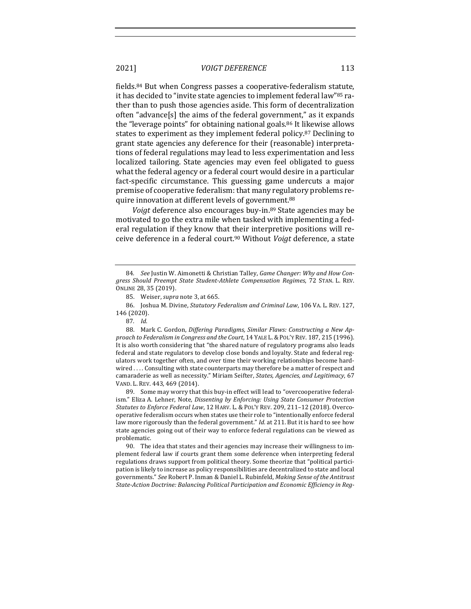fields.<sup>84</sup> But when Congress passes a cooperative-federalism statute, it has decided to "invite state agencies to implement federal law"<sup>85</sup> rather than to push those agencies aside. This form of decentralization often "advance $[s]$  the aims of the federal government," as it expands the "leverage points" for obtaining national goals.<sup>86</sup> It likewise allows states to experiment as they implement federal policy.<sup>87</sup> Declining to grant state agencies any deference for their (reasonable) interpretations of federal regulations may lead to less experimentation and less localized tailoring. State agencies may even feel obligated to guess what the federal agency or a federal court would desire in a particular fact-specific circumstance. This guessing game undercuts a major premise of cooperative federalism: that many regulatory problems require innovation at different levels of government.<sup>88</sup>

*Voigt* deference also encourages buy-in.<sup>89</sup> State agencies may be motivated to go the extra mile when tasked with implementing a federal regulation if they know that their interpretive positions will receive deference in a federal court.<sup>90</sup> Without *Voigt* deference, a state

89. Some may worry that this buy-in effect will lead to "overcooperative federalism." Eliza A. Lehner, Note, *Dissenting by Enforcing: Using State Consumer Protection Statutes to Enforce Federal Law*, 12 HARV. L. & POL'Y REV. 209, 211-12 (2018). Overcooperative federalism occurs when states use their role to "intentionally enforce federal law more rigorously than the federal government." *Id.* at 211. But it is hard to see how state agencies going out of their way to enforce federal regulations can be viewed as problematic.

90. The idea that states and their agencies may increase their willingness to implement federal law if courts grant them some deference when interpreting federal regulations draws support from political theory. Some theorize that "political participation is likely to increase as policy responsibilities are decentralized to state and local governments." See Robert P. Inman & Daniel L. Rubinfeld, *Making Sense of the Antitrust* State-Action Doctrine: Balancing Political Participation and *Economic Efficiency* in Reg-

<sup>84.</sup> See Justin W. Aimonetti & Christian Talley, Game Changer: Why and How Con*gress Should Preempt State Student-Athlete Compensation Regimes*, 72 STAN. L. REV. ONLINE 28, 35 (2019).

<sup>85.</sup> Weiser, *supra* note 3, at 665.

<sup>86.</sup> Joshua M. Divine, *Statutory Federalism and Criminal Law*, 106 VA. L. REV. 127, 146 (2020).

<sup>87</sup>*. Id.*

<sup>88.</sup> Mark C. Gordon, Differing Paradigms, Similar Flaws: Constructing a New Approach to Federalism in Congress and the Court, 14 YALE L. & POL'Y REV. 187, 215 (1996). It is also worth considering that "the shared nature of regulatory programs also leads federal and state regulators to develop close bonds and loyalty. State and federal regulators work together often, and over time their working relationships become hardwired .... Consulting with state counterparts may therefore be a matter of respect and camaraderie as well as necessity." Miriam Seifter, *States, Agencies, and Legitimacy*, 67 VAND. L. REV. 443, 469 (2014).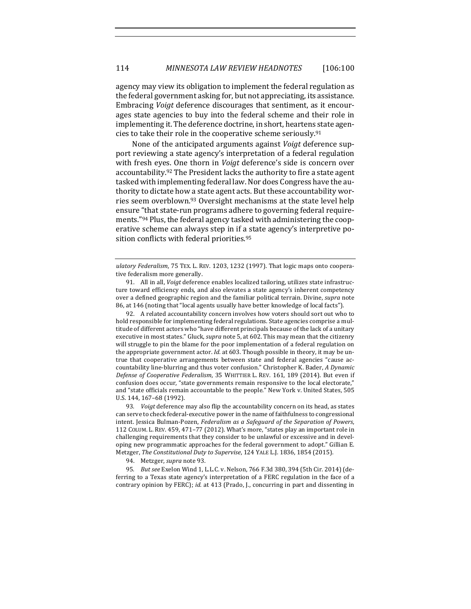agency may view its obligation to implement the federal regulation as the federal government asking for, but not appreciating, its assistance. Embracing *Voigt* deference discourages that sentiment, as it encourages state agencies to buy into the federal scheme and their role in implementing it. The deference doctrine, in short, heartens state agencies to take their role in the cooperative scheme seriously.<sup>91</sup>

None of the anticipated arguments against *Voigt* deference support reviewing a state agency's interpretation of a federal regulation with fresh eyes. One thorn in *Voigt* deference's side is concern over accountability.<sup>92</sup> The President lacks the authority to fire a state agent tasked with implementing federal law. Nor does Congress have the authority to dictate how a state agent acts. But these accountability worries seem overblown.<sup>93</sup> Oversight mechanisms at the state level help ensure "that state-run programs adhere to governing federal requirements."<sup>94</sup> Plus, the federal agency tasked with administering the cooperative scheme can always step in if a state agency's interpretive position conflicts with federal priorities.<sup>95</sup>

92. A related accountability concern involves how voters should sort out who to hold responsible for implementing federal regulations. State agencies comprise a multitude of different actors who "have different principals because of the lack of a unitary executive in most states." Gluck, *supra* note 5, at 602. This may mean that the citizenry will struggle to pin the blame for the poor implementation of a federal regulation on the appropriate government actor. *Id.* at 603. Though possible in theory, it may be untrue that cooperative arrangements between state and federal agencies "cause accountability line-blurring and thus voter confusion." Christopher K. Bader, *A Dynamic Defense of Cooperative Federalism*, 35 WHITTIER L. REV. 161, 189 (2014). But even if confusion does occur, "state governments remain responsive to the local electorate," and "state officials remain accountable to the people." New York v. United States, 505 U.S. 144, 167-68 (1992).

93. *Voigt* deference may also flip the accountability concern on its head, as states can serve to check federal-executive power in the name of faithfulness to congressional intent. Jessica Bulman-Pozen, Federalism as a Safeguard of the Separation of Powers, 112 COLUM. L. REV. 459, 471-77 (2012). What's more, "states play an important role in challenging requirements that they consider to be unlawful or excessive and in developing new programmatic approaches for the federal government to adopt." Gillian E. Metzger, The Constitutional Duty to Supervise, 124 YALE L.J. 1836, 1854 (2015).

94. Metzger, *supra* note 93.

95. *But see* Exelon Wind 1, L.L.C. v. Nelson, 766 F.3d 380, 394 (5th Cir. 2014) (deferring to a Texas state agency's interpretation of a FERC regulation in the face of a contrary opinion by FERC); *id.* at 413 (Prado, J., concurring in part and dissenting in

ulatory Federalism, 75 TEX. L. REV. 1203, 1232 (1997). That logic maps onto cooperative federalism more generally.

<sup>91.</sup> All in all, *Voigt* deference enables localized tailoring, utilizes state infrastructure toward efficiency ends, and also elevates a state agency's inherent competency over a defined geographic region and the familiar political terrain. Divine, *supra* note 86, at 146 (noting that "local agents usually have better knowledge of local facts").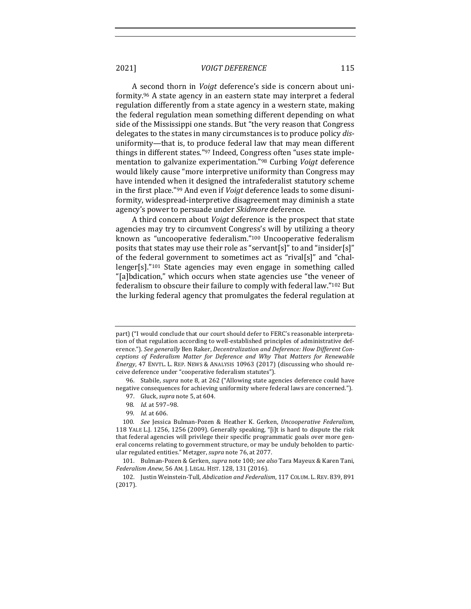A second thorn in *Voigt* deference's side is concern about uniformity.<sup>96</sup> A state agency in an eastern state may interpret a federal regulation differently from a state agency in a western state, making the federal regulation mean something different depending on what side of the Mississippi one stands. But "the very reason that Congress delegates to the states in many circumstances is to produce policy *dis*uniformity—that is, to produce federal law that may mean different things in different states."<sup>97</sup> Indeed, Congress often "uses state implementation to galvanize experimentation.<sup>"98</sup> Curbing *Voigt* deference would likely cause "more interpretive uniformity than Congress may have intended when it designed the intrafederalist statutory scheme in the first place."<sup>99</sup> And even if *Voigt* deference leads to some disuniformity, widespread-interpretive disagreement may diminish a state agency's power to persuade under *Skidmore* deference.

A third concern about *Voigt* deference is the prospect that state agencies may try to circumvent Congress's will by utilizing a theory known as "uncooperative federalism."<sup>100</sup> Uncooperative federalism posits that states may use their role as "servant[s]" to and "insider[s]" of the federal government to sometimes act as "rival[s]" and "challenger[s]."<sup>101</sup> State agencies may even engage in something called "[a]bdication," which occurs when state agencies use "the veneer of federalism to obscure their failure to comply with federal law."<sup>102</sup> But the lurking federal agency that promulgates the federal regulation at

96. Stabile, *supra* note 8, at 262 ("Allowing state agencies deference could have negative consequences for achieving uniformity where federal laws are concerned.").

part) ("I would conclude that our court should defer to FERC's reasonable interpretation of that regulation according to well-established principles of administrative deference."). See generally Ben Raker, *Decentralization and Deference: How Different Con*ceptions of Federalism Matter for Deference and Why That Matters for Renewable *Energy*, 47 ENVTL. L. REP. NEWS & ANALYSIS 10963 (2017) (discussing who should receive deference under "cooperative federalism statutes").

<sup>97.</sup> Gluck, *supra* note 5, at 604.

<sup>98</sup>*. Id.* at 597–98.

<sup>99</sup>*. Id.* at 606.

<sup>100</sup>*. See*  Jessica Bulman-Pozen & Heather K. Gerken, *Uncooperative Federalism*, 118 YALE L.J. 1256, 1256 (2009). Generally speaking, "[i]t is hard to dispute the risk that federal agencies will privilege their specific programmatic goals over more general concerns relating to government structure, or may be unduly beholden to particular regulated entities." Metzger, *supra* note 76, at 2077.

<sup>101.</sup> Bulman-Pozen & Gerken, *supra* note 100; see also Tara Mayeux & Karen Tani, *Federalism Anew*, 56 AM. J. LEGAL HIST. 128, 131 (2016).

<sup>102.</sup> Justin Weinstein-Tull, *Abdication and Federalism*, 117 COLUM. L. REV. 839, 891 (2017).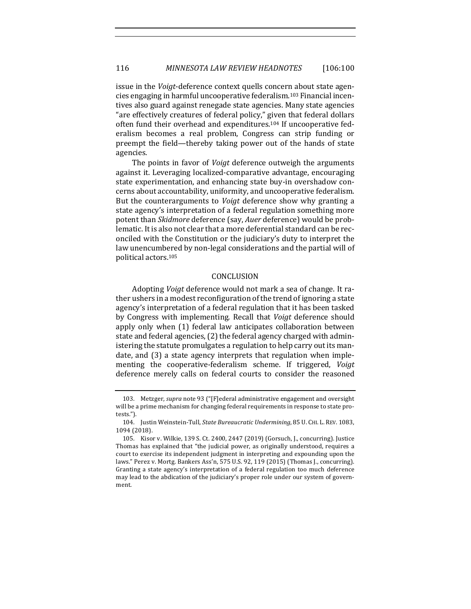issue in the *Voigt*-deference context quells concern about state agencies engaging in harmful uncooperative federalism.<sup>103</sup> Financial incentives also guard against renegade state agencies. Many state agencies "are effectively creatures of federal policy," given that federal dollars often fund their overhead and expenditures.<sup>104</sup> If uncooperative federalism becomes a real problem, Congress can strip funding or preempt the field—thereby taking power out of the hands of state agencies. 

The points in favor of *Voigt* deference outweigh the arguments against it. Leveraging localized-comparative advantage, encouraging state experimentation, and enhancing state buy-in overshadow concerns about accountability, uniformity, and uncooperative federalism. But the counterarguments to *Voigt* deference show why granting a state agency's interpretation of a federal regulation something more potent than *Skidmore* deference (say, Auer deference) would be problematic. It is also not clear that a more deferential standard can be reconciled with the Constitution or the judiciary's duty to interpret the law unencumbered by non-legal considerations and the partial will of political actors.105

#### CONCLUSION

Adopting *Voigt* deference would not mark a sea of change. It rather ushers in a modest reconfiguration of the trend of ignoring a state agency's interpretation of a federal regulation that it has been tasked by Congress with implementing. Recall that *Voigt* deference should apply only when (1) federal law anticipates collaboration between state and federal agencies, (2) the federal agency charged with administering the statute promulgates a regulation to help carry out its mandate, and (3) a state agency interprets that regulation when implementing the cooperative-federalism scheme. If triggered, *Voigt* deference merely calls on federal courts to consider the reasoned

<sup>103.</sup> Metzger, *supra* note 93 ("[F]ederal administrative engagement and oversight will be a prime mechanism for changing federal requirements in response to state protests.").

<sup>104.</sup> Justin Weinstein-Tull, *State Bureaucratic Undermining*, 85 U. CHI. L. REV. 1083, 1094 (2018).

<sup>105.</sup> Kisor v. Wilkie, 139 S. Ct. 2400, 2447 (2019) (Gorsuch, J., concurring). Justice Thomas has explained that "the judicial power, as originally understood, requires a court to exercise its independent judgment in interpreting and expounding upon the laws." Perez v. Mortg. Bankers Ass'n, 575 U.S. 92, 119 (2015) (Thomas J., concurring). Granting a state agency's interpretation of a federal regulation too much deference may lead to the abdication of the judiciary's proper role under our system of government.